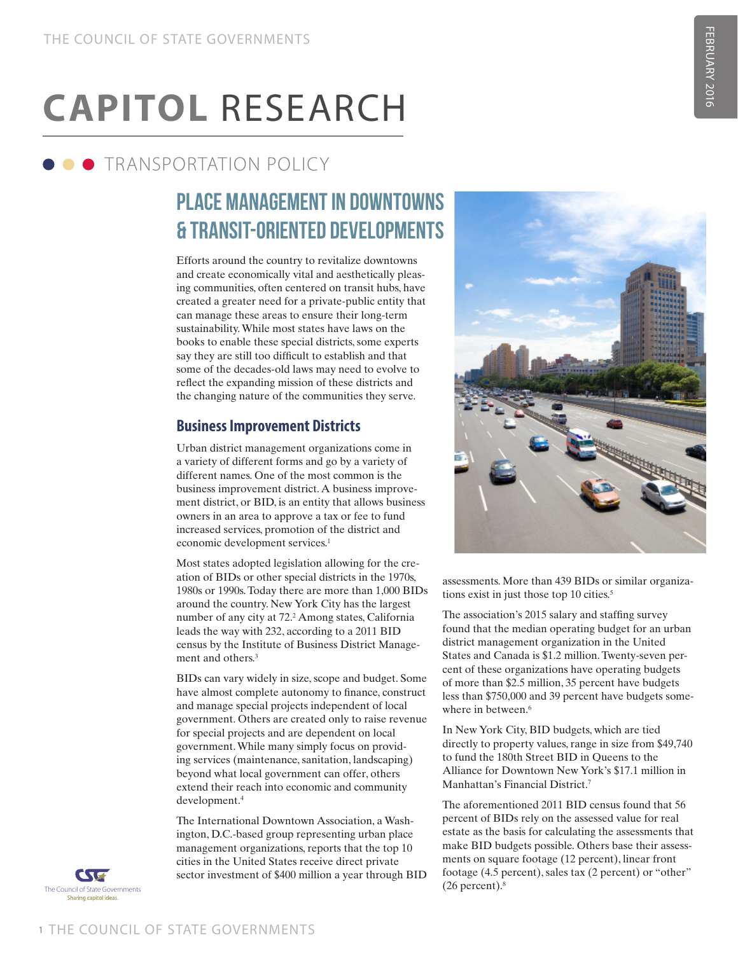# **CAPITOL** RESEARCH

## **O O** TRANSPORTATION POLICY

## **Place Management in Downtowns & Transit-Oriented Developments**

Efforts around the country to revitalize downtowns and create economically vital and aesthetically pleasing communities, often centered on transit hubs, have created a greater need for a private-public entity that can manage these areas to ensure their long-term sustainability. While most states have laws on the books to enable these special districts, some experts say they are still too difficult to establish and that some of the decades-old laws may need to evolve to reflect the expanding mission of these districts and the changing nature of the communities they serve.

### **Business Improvement Districts**

Urban district management organizations come in a variety of different forms and go by a variety of different names. One of the most common is the business improvement district. A business improvement district, or BID, is an entity that allows business owners in an area to approve a tax or fee to fund increased services, promotion of the district and economic development services.<sup>1</sup>

Most states adopted legislation allowing for the creation of BIDs or other special districts in the 1970s, 1980s or 1990s. Today there are more than 1,000 BIDs around the country. New York City has the largest number of any city at 72.<sup>2</sup> Among states, California leads the way with 232, according to a 2011 BID census by the Institute of Business District Management and others.<sup>3</sup>

BIDs can vary widely in size, scope and budget. Some have almost complete autonomy to finance, construct and manage special projects independent of local government. Others are created only to raise revenue for special projects and are dependent on local government. While many simply focus on providing services (maintenance, sanitation, landscaping) beyond what local government can offer, others extend their reach into economic and community development.4

The International Downtown Association, a Washington, D.C.-based group representing urban place management organizations, reports that the top 10 cities in the United States receive direct private sector investment of \$400 million a year through BID



assessments. More than 439 BIDs or similar organizations exist in just those top 10 cities.<sup>5</sup>

The association's 2015 salary and staffing survey found that the median operating budget for an urban district management organization in the United States and Canada is \$1.2 million. Twenty-seven percent of these organizations have operating budgets of more than \$2.5 million, 35 percent have budgets less than \$750,000 and 39 percent have budgets somewhere in between.<sup>6</sup>

In New York City, BID budgets, which are tied directly to property values, range in size from \$49,740 to fund the 180th Street BID in Queens to the Alliance for Downtown New York's \$17.1 million in Manhattan's Financial District.7

The aforementioned 2011 BID census found that 56 percent of BIDs rely on the assessed value for real estate as the basis for calculating the assessments that make BID budgets possible. Others base their assessments on square footage (12 percent), linear front footage (4.5 percent), sales tax (2 percent) or "other"  $(26$  percent).<sup>8</sup>

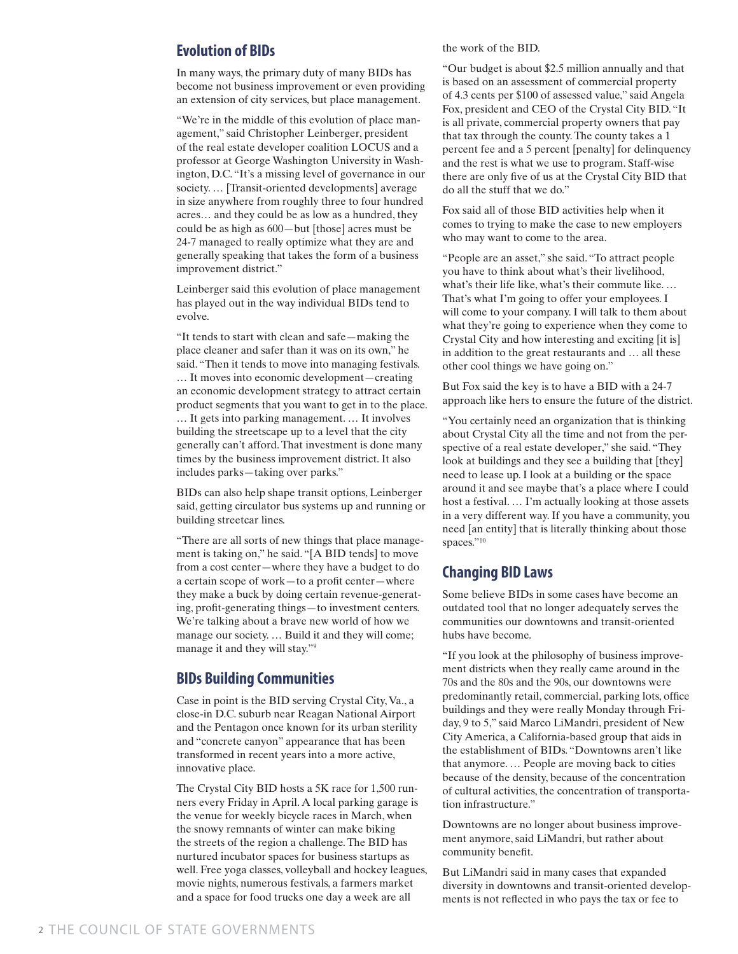#### **Evolution of BIDs**

In many ways, the primary duty of many BIDs has become not business improvement or even providing an extension of city services, but place management.

"We're in the middle of this evolution of place management," said Christopher Leinberger, president of the real estate developer coalition LOCUS and a professor at George Washington University in Wash ington, D.C. "It's a missing level of governance in our society. … [Transit-oriented developments] average in size anywhere from roughly three to four hundred acres… and they could be as low as a hundred, they could be as high as 600—but [those] acres must be 24-7 managed to really optimize what they are and generally speaking that takes the form of a business improvement district."

Leinberger said this evolution of place management has played out in the way individual BIDs tend to evolve.

"It tends to start with clean and safe—making the place cleaner and safer than it was on its own," he said. "Then it tends to move into managing festivals. … It moves into economic development—creating an economic development strategy to attract certain product segments that you want to get in to the place. … It gets into parking management. … It involves building the streetscape up to a level that the city generally can't afford. That investment is done many times by the business improvement district. It also includes parks—taking over parks."

BIDs can also help shape transit options, Leinberger said, getting circulator bus systems up and running or building streetcar lines.

"There are all sorts of new things that place manage ment is taking on," he said. "[A BID tends] to move from a cost center—where they have a budget to do a certain scope of work—to a profit center—where they make a buck by doing certain revenue-generat ing, profit-generating things—to investment centers. We're talking about a brave new world of how we manage our society. … Build it and they will come; manage it and they will stay."<sup>9</sup>

#### **BIDs Building Communities**

Case in point is the BID serving Crystal City, Va., a close-in D.C. suburb near Reagan National Airport and the Pentagon once known for its urban sterility and "concrete canyon" appearance that has been transformed in recent years into a more active, innovative place.

The Crystal City BID hosts a 5K race for 1,500 run ners every Friday in April. A local parking garage is the venue for weekly bicycle races in March, when the snowy remnants of winter can make biking the streets of the region a challenge. The BID has nurtured incubator spaces for business startups as well. Free yoga classes, volleyball and hockey leagues, movie nights, numerous festivals, a farmers market and a space for food trucks one day a week are all

the work of the BID.

"Our budget is about \$2.5 million annually and that is based on an assessment of commercial property of 4.3 cents per \$100 of assessed value," said Angela Fox, president and CEO of the Crystal City BID. "It is all private, commercial property owners that pay that tax through the county. The county takes a 1 percent fee and a 5 percent [penalty] for delinquency and the rest is what we use to program. Staff-wise there are only five of us at the Crystal City BID that do all the stuff that we do."

Fox said all of those BID activities help when it comes to trying to make the case to new employers who may want to come to the area.

"People are an asset," she said. "To attract people you have to think about what's their livelihood, what's their life like, what's their commute like. … That's what I'm going to offer your employees. I will come to your company. I will talk to them about what they're going to experience when they come to Crystal City and how interesting and exciting [it is] in addition to the great restaurants and … all these other cool things we have going on."

But Fox said the key is to have a BID with a 24-7 approach like hers to ensure the future of the district.

"You certainly need an organization that is thinking about Crystal City all the time and not from the per spective of a real estate developer," she said. "They look at buildings and they see a building that [they] need to lease up. I look at a building or the space around it and see maybe that's a place where I could host a festival. … I'm actually looking at those assets in a very different way. If you have a community, you need [an entity] that is literally thinking about those spaces."10

#### **Changing BID Laws**

Some believe BIDs in some cases have become an outdated tool that no longer adequately serves the communities our downtowns and transit-oriented hubs have become.

"If you look at the philosophy of business improve ment districts when they really came around in the 70s and the 80s and the 90s, our downtowns were predominantly retail, commercial, parking lots, office buildings and they were really Monday through Fri day, 9 to 5," said Marco LiMandri, president of New City America, a California-based group that aids in the establishment of BIDs. "Downtowns aren't like that anymore. … People are moving back to cities because of the density, because of the concentration of cultural activities, the concentration of transporta tion infrastructure."

Downtowns are no longer about business improve ment anymore, said LiMandri, but rather about community benefit.

But LiMandri said in many cases that expanded diversity in downtowns and transit-oriented develop ments is not reflected in who pays the tax or fee to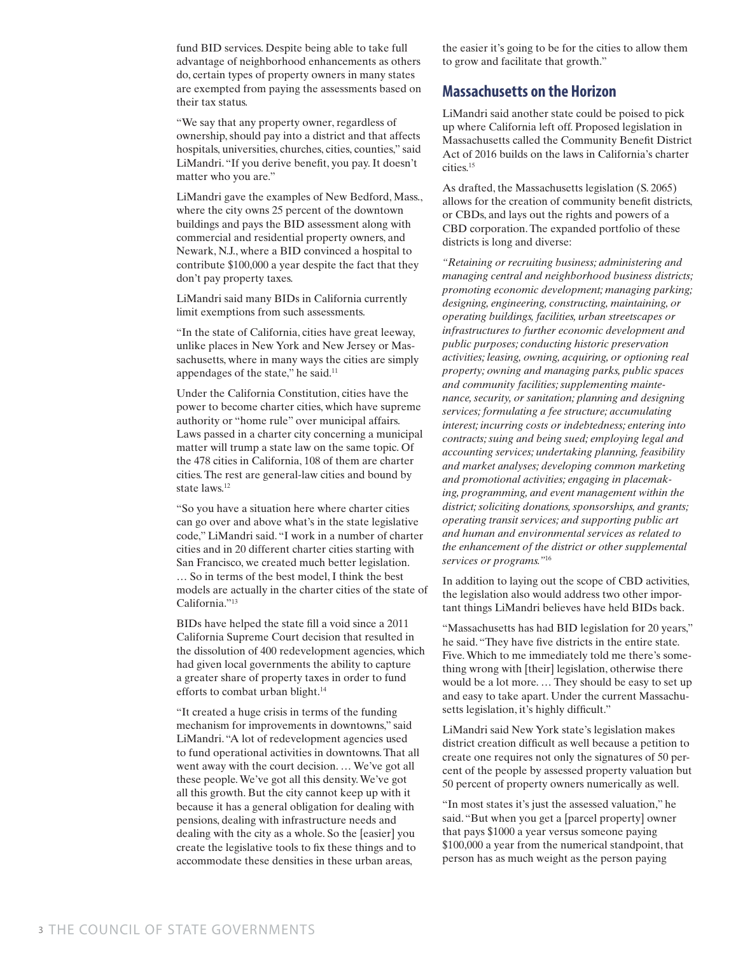fund BID services. Despite being able to take full advantage of neighborhood enhancements as others do, certain types of property owners in many states are exempted from paying the assessments based on their tax status.

"We say that any property owner, regardless of ownership, should pay into a district and that affects hospitals, universities, churches, cities, counties," said LiMandri. "If you derive benefit, you pay. It doesn't matter who you are."

LiMandri gave the examples of New Bedford, Mass., where the city owns 25 percent of the downtown buildings and pays the BID assessment along with commercial and residential property owners, and Newark, N.J., where a BID convinced a hospital to contribute \$100,000 a year despite the fact that they don't pay property taxes.

LiMandri said many BIDs in California currently limit exemptions from such assessments.

"In the state of California, cities have great leeway, unlike places in New York and New Jersey or Mas sachusetts, where in many ways the cities are simply appendages of the state," he said.<sup>11</sup>

Under the California Constitution, cities have the power to become charter cities, which have supreme authority or "home rule" over municipal affairs. Laws passed in a charter city concerning a municipal matter will trump a state law on the same topic. Of the 478 cities in California, 108 of them are charter cities. The rest are general-law cities and bound by state laws.12

"So you have a situation here where charter cities can go over and above what's in the state legislative code," LiMandri said. "I work in a number of charter cities and in 20 different charter cities starting with San Francisco, we created much better legislation. … So in terms of the best model, I think the best models are actually in the charter cities of the state of California."13

BIDs have helped the state fill a void since a 2011 California Supreme Court decision that resulted in the dissolution of 400 redevelopment agencies, which had given local governments the ability to capture a greater share of property taxes in order to fund efforts to combat urban blight.<sup>14</sup>

"It created a huge crisis in terms of the funding mechanism for improvements in downtowns," said LiMandri. "A lot of redevelopment agencies used to fund operational activities in downtowns. That all went away with the court decision. … We've got all these people. We've got all this density. We've got all this growth. But the city cannot keep up with it because it has a general obligation for dealing with pensions, dealing with infrastructure needs and dealing with the city as a whole. So the [easier] you create the legislative tools to fix these things and to accommodate these densities in these urban areas,

the easier it's going to be for the cities to allow them to grow and facilitate that growth."

#### **Massachusetts on the Horizon**

LiMandri said another state could be poised to pick up where California left off. Proposed legislation in Massachusetts called the Community Benefit District Act of 2016 builds on the laws in California's charter cities.15

As drafted, the Massachusetts legislation (S. 2065) allows for the creation of community benefit districts, or CBDs, and lays out the rights and powers of a CBD corporation. The expanded portfolio of these districts is long and diverse:

*"Retaining or recruiting business; administering and managing central and neighborhood business districts; promoting economic development; managing parking; designing, engineering, constructing, maintaining, or operating buildings, facilities, urban streetscapes or infrastructures to further economic development and public purposes; conducting historic preservation activities; leasing, owning, acquiring, or optioning real property; owning and managing parks, public spaces and community facilities; supplementing mainte nance, security, or sanitation; planning and designing services; formulating a fee structure; accumulating interest; incurring costs or indebtedness; entering into contracts; suing and being sued; employing legal and accounting services; undertaking planning, feasibility and market analyses; developing common marketing and promotional activities; engaging in placemak ing, programming, and event management within the district; soliciting donations, sponsorships, and grants; operating transit services; and supporting public art and human and environmental services as related to the enhancement of the district or other supplemental services or programs."*<sup>16</sup>

In addition to laying out the scope of CBD activities, the legislation also would address two other impor tant things LiMandri believes have held BIDs back.

"Massachusetts has had BID legislation for 20 years," he said. "They have five districts in the entire state. Five. Which to me immediately told me there's something wrong with [their] legislation, otherwise there would be a lot more. … They should be easy to set up and easy to take apart. Under the current Massachu setts legislation, it's highly difficult."

LiMandri said New York state's legislation makes district creation difficult as well because a petition to create one requires not only the signatures of 50 per cent of the people by assessed property valuation but 50 percent of property owners numerically as well.

"In most states it's just the assessed valuation," he said. "But when you get a [parcel property] owner that pays \$1000 a year versus someone paying \$100,000 a year from the numerical standpoint, that person has as much weight as the person paying